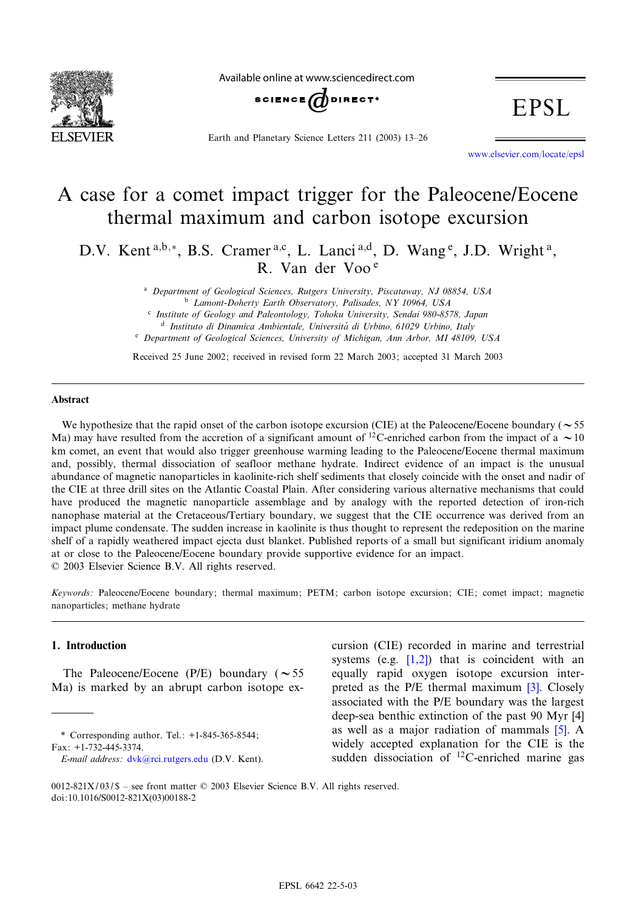

Available online at www.sciencedirect.com



Earth and Planetary Science Letters 211 (2003) 13-26

**EPSL** 

www.elsevier.com/locate/epsl

# A case for a comet impact trigger for the Paleocene/Eocene thermal maximum and carbon isotope excursion

D.V. Kent<sup>a,b,\*</sup>, B.S. Cramer<sup>a,c</sup>, L. Lanci<sup>a,d</sup>, D. Wang<sup>e</sup>, J.D. Wright<sup>a</sup>, R. Van der Voo <sup>e</sup>

> <sup>a</sup> Department of Geological Sciences, Rutgers University, Piscataway, NJ 08854, USA <sup>b</sup> Lamont-Doherty Earth Observatory, Palisades, NY 10964, USA

> <sup>c</sup> Institute of Geology and Paleontology, Tohoku University, Sendai 980-8578, Japan <sup>d</sup> Instituto di Dinamica Ambientale, Università di Urbino, 61029 Urbino, Italy

<sup>e</sup> Department of Geological Sciences, University of Michigan, Ann Arbor, MI 48109, USA

Received 25 June 2002; received in revised form 22 March 2003; accepted 31 March 2003

#### Abstract

We hypothesize that the rapid onset of the carbon isotope excursion (CIE) at the Paleocene/Eocene boundary ( $\sim$  55 Ma) may have resulted from the accretion of a significant amount of <sup>12</sup>C-enriched carbon from the impact of a  $\sim$  10 km comet, an event that would also trigger greenhouse warming leading to the Paleocene/Eocene thermal maximum and, possibly, thermal dissociation of seafloor methane hydrate. Indirect evidence of an impact is the unusual abundance of magnetic nanoparticles in kaolinite-rich shelf sediments that closely coincide with the onset and nadir of the CIE at three drill sites on the Atlantic Coastal Plain. After considering various alternative mechanisms that could have produced the magnetic nanoparticle assemblage and by analogy with the reported detection of iron-rich nanophase material at the Cretaceous/Tertiary boundary, we suggest that the CIE occurrence was derived from an impact plume condensate. The sudden increase in kaolinite is thus thought to represent the redeposition on the marine shelf of a rapidly weathered impact ejecta dust blanket. Published reports of a small but significant iridium anomaly at or close to the Paleocene/Eocene boundary provide supportive evidence for an impact. 6 2003 Elsevier Science B.V. All rights reserved.

Keywords: Paleocene/Eocene boundary; thermal maximum; PETM; carbon isotope excursion; CIE; comet impact; magnetic nanoparticles; methane hydrate

#### 1. Introduction

The Paleocene/Eocene (P/E) boundary ( $\sim$  55 Ma) is marked by an abrupt carbon isotope ex-

\* Correspondin[g author. Tel.: +1-84](mailto:dvk@ldeo.rci.rutgers.edu)5-365-8544; Fax: +1-732-445-3374.

E-mail address: dvk@rci.rutgers.edu (D.V. Kent).

cursion (CIE) [reco](#page-11-0)rded in marine and terrestrial systems (e.g.  $[1,2]$ ) that is coincide[nt](#page-11-0) with an equally rapid oxygen isotope excursion interpreted as the P/E thermal maximum [3]. Clos[ely](#page-11-0) associated with the P/E boundary was the l[arg](#page-11-0)est deep-sea benthic extinction of the past 90 Myr [4] as well as a major radiation of mammals [5]. A widely accepted explanation for the CIE is the sudden dissociation of 12C-enriched marine gas

0012-821X/03/\$ - see front matter  $©$  2003 Elsevier Science B.V. All rights reserved. doi:10.1016/S0012-821X(03)00188-2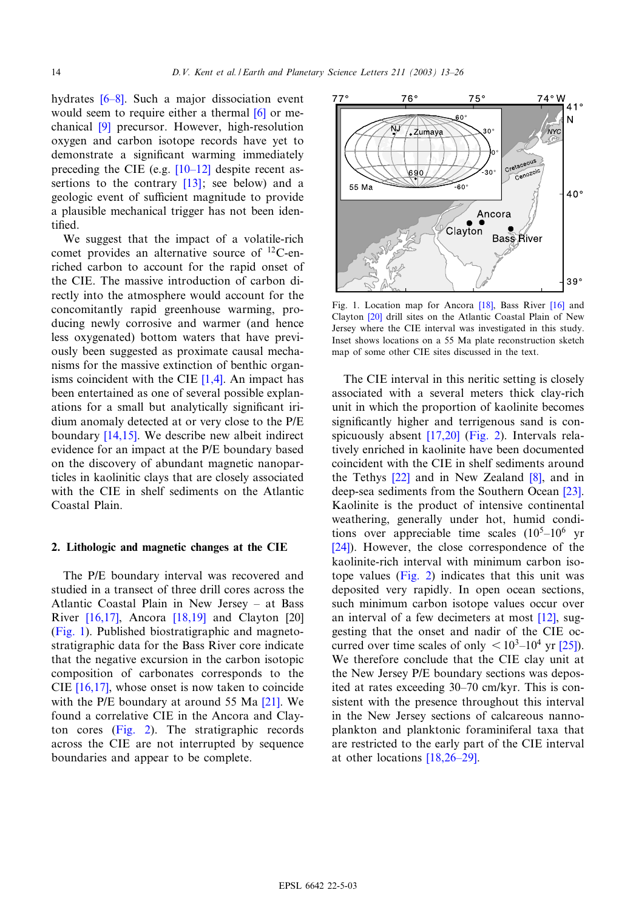hydrates  $[6-8]$ . Such a major dissocia[tion](#page-11-0) event would seem to require either a thermal [6] or mechanical [9] precursor. However, high-resolution oxygen and carbon iso[tope rec](#page-11-0)ords have yet to demonstrate a significan[t wa](#page-11-0)rming immediately preceding the CIE (e.g.  $[10-12]$  despite recent assertions to the contrary [13]; see below) and a geologic event of sufficient magnitude to provide a plausible mechanical trigger has not been identified.

We suggest that the impact of a volatile-rich comet provides an alternative source of 12C-enriched carbon to account for the rapid onset of the CIE. The massive introduction of carbon directly into the atmosphere would account for the concomitantly rapid greenhouse warming, producing newly corrosive and warmer (and hence less oxygenated) bottom waters that have previously been suggested as prox[imate](#page-11-0) causal mechanisms for the massive extinction of benthic organisms coincident with the CIE  $[1,4]$ . An impact has been entertained as one of several possible explanations for [a sma](#page-11-0)ll but analytically significant iridium anomaly detected at or very close to the P/E boundary [14,15]. We describe new albeit indirect evidence for an impact at the P/E boundary based on the discovery of abundant magnetic nanoparticles in kaolinitic clays that are closely associated with the CIE in shelf sediments on the Atlantic Coastal Plain.

#### 2. Lithologic and magnetic changes at the CIE

The P/E boundary interval was recovered and studie[d in a tr](#page-11-0)ansect of [three d](#page-11-0)rill cores across [the](#page-11-0) Atlantic Coastal Plain in New Jersey - at Bass River [16,17], Ancora [18,19] and Clayton [20] (Fig. 1). Published biostratigraphic and magnetostratigraphic data for the Bass River core indicate that [the neg](#page-11-0)ative excursion in the carbon isotopic composition of carbonates correspond[s to](#page-12-0) the CIE [16,17], whose onset is now taken to coincide with the P/E [bound](#page-2-0)ary at around 55 Ma [21]. We found a correlative CIE in the Ancora and Clayton cores (Fig. 2). The stratigraphic records across the CIE are not interrupted by sequence boundaries and appear to be complete.



Fig. 1. Location map for Ancora [18], Bass River [16] and Clayton [20] drill sites on the Atlantic Coastal Plain of New Jersey where the CIE interval was investigated in this study. Inset shows locations on a 55 Ma plate reconstruction sketch map of some other CIE sites discussed in the text.

The CIE interval in this neritic setting is closely associated with a several meters thick clay-rich unit in which the [proporti](#page-11-0)[on of k](#page-2-0)aolinite becomes significantly higher and terrigenous sand is conspicuously absent [17,20] (Fig. 2). Intervals relatively enric[hed i](#page-12-0)n kaolinite have been [docu](#page-11-0)mented coincident with the CIE in shelf sediments ar[ound](#page-12-0) the Tethys  $[22]$  and in New Zealand  $[8]$ , and in deep-sea sediments from the Southern Ocean [23]. Kaolinite is the product of intensive continental [wea](#page-12-0)thering, generally under hot, humid conditions over appreciable time scales  $(10^5-10^6$  yr [24]). Howev[er, the](#page-2-0) close correspondence of the kaolinite-rich interval with minimum carbon isotope values (Fig. 2) indicates that this unit was deposited very rapidly. In open ocean [sec](#page-11-0)tions, such minimum carbon isotope values occur over an interval of a few decimeters at most [12][, sug](#page-12-0)gesting that the onset and nadir of the CIE occurred over time scales of only  $\langle 10^3 - 10^4 \text{ yr} [25]$ . We therefore conclude that the CIE clay unit at the New Jersey P/E boundary sections was deposited at rates exceeding 30-70 cm/kyr. This is consistent with the presence throughout this interval in the New Jersey sections of calcareous nannoplankton and pla[nktonic for](#page-11-0)aminiferal taxa that are restricted to the early part of the CIE interval at other locations  $[18,26-29]$ .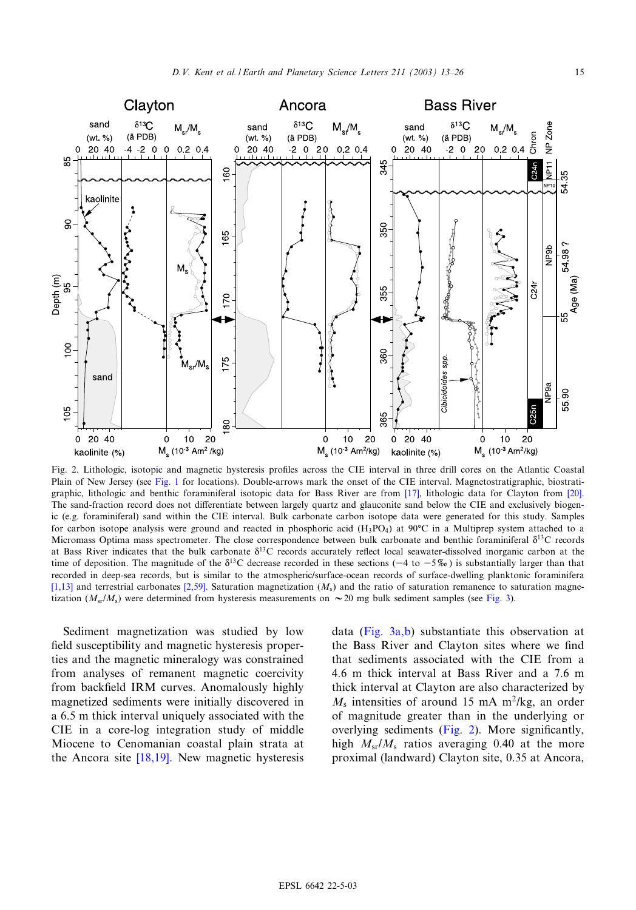<span id="page-2-0"></span>

Fig. 2. Lithologic, isotopic and magnetic hysteresis profiles across the CIE interval [in th](#page-11-0)ree drill cores on the Atlantic Co[astal](#page-11-0) Plain of New Jersey (see Fig. 1 for locations). Double-arrows mark the onset of the CIE interval. Magnetostratigraphic, biostratigraphic, lithologic and benthic foraminiferal isotopic data for Bass River are from [17], lithologic data for Clayton from [20]. The sand-fraction record does not differentiate between largely quartz and glauconite sand below the CIE and exclusively biogenic (e.g. foraminiferal) sand within the CIE interval. Bulk carbonate carbon isotope data were generated for this study. Samples for carbon isotope analysis were ground and reacted in phosphoric acid  $(H_3PO_4)$  at 90 $°C$  in a Multiprep system attached to a Micromass Optima mass spectrometer. The close correspondence between bulk carbonate and benthic foraminiferal  $\delta^{13}C$  records at Bass River indicates that the bulk carbonate  $\delta^{13}C$  records accurately reflect local seawater-dissolved inorganic carbon at the [time](#page-11-0) of deposition. The magnit[ude of](#page-11-0) the  $\delta^{13}$ C decrease recorded in these sections (-4 to -5%) is substantially larger than that recorded in deep-sea records, but is similar to the atmospheric/surface-ocean records of surface-dwelling [plankt](#page-3-0)onic foraminifera [1,13] and terrestrial carbonates [2,59]. Saturation magnetization  $(M_s)$  and the ratio of saturation remanence to saturation magnetization ( $M_{\rm s}/M_{\rm s}$ ) were determined from hysteresis measurements on  $\sim$  20 [mg bulk sedim](#page-3-0)ent samples (see Fig. 3).

Sediment magnetization was studied by low field susceptibility and magnetic hysteresis properties and the magnetic mineralogy was constrained from analyses of remanent magnetic coercivity from backfield IRM curves. Anomalously highly magnetized sediments were initially discovered in a 6.5 m thick interval uniquely associated with the CIE in a core-[log int](#page-11-0)egration study of middle Miocene to Cenomanian coastal plain strata at the Ancora site  $[18,19]$ . New magnetic hysteresis

data (Fig. 3a,b) substantiate this observation at the Bass River and Clayton sites where we find that sediments associated with the CIE from a 4.6 m thick interval at Bass River and a 7.6 m thick interval at Clayton are also characterized by  $M<sub>s</sub>$  intensities of around 15 mA m<sup>2</sup>/kg, an order of magnitude greater than in the underlying or overlying sediments (Fig. 2). More significantly, high  $M_{\rm sr}/M_{\rm s}$  ratios averaging 0.40 at the more proximal (landward) Clayton site, 0.35 at Ancora,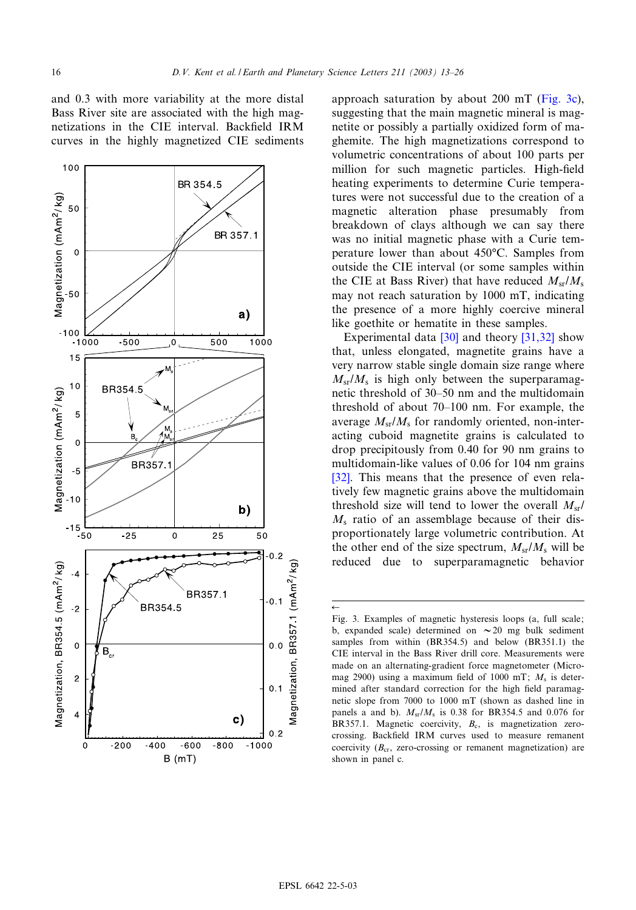$\leftarrow$ 

<span id="page-3-0"></span>and 0.3 with more variability at the more distal Bass River site are associated with the high magnetizations in the CIE interval. Backfield IRM curves in the highly magnetized CIE sediments



approach saturation by about 200 mT (Fig. 3c), suggesting that the main magnetic mineral is magnetite or possibly a partially oxidized form of maghemite. The high magnetizations correspond to volumetric concentrations of about 100 parts per million for such magnetic particles. High-field heating experiments to determine Curie temperatures were not successful due to the creation of a magnetic alteration phase presumably from breakdown of clays although we can say there was no initial magnetic phase with a Curie temperature lower than about 450°C. Samples from outside the CIE interval (or some samples within the CIE at Bass River) that have reduced  $M_{\rm sr}/M_{\rm s}$ may not reach saturation by 1000 mT, indicating the presence of a m[ore](#page-12-0) highly coer[cive m](#page-12-0)ineral like goethite or hematite in these samples.

Experimental data [30] and theory [31,32] show that, unless elongated, magnetite grains have a very narrow stable single domain size range where  $M_{\rm sr}/M_{\rm s}$  is high only between the superparamagnetic threshold of 30^50 nm and the multidomain threshold of about  $70-100$  nm. For example, the average  $M_{\rm sr}/M_{\rm s}$  for randomly oriented, non-interacting cuboid magnetite grains is calculated to [drop](#page-12-0) precipitously from 0.40 for 90 nm grains to multidomain-like values of 0.06 for 104 nm grains [32]. This means that the presence of even relatively few magnetic grains above the multidomain threshold size will tend to lower the overall  $M_{\rm sr}$ /  $M<sub>s</sub>$  ratio of an assemblage because of their disproportionately large volumetric contribution. At the other end of the size spectrum,  $M_{\rm sr}/M_{\rm s}$  will be reduced due to superparamagnetic behavior

Fig. 3. Examples of magnetic hysteresis loops (a, full scale; b, expanded scale) determined on  $\sim$  20 mg bulk sediment samples from within (BR354.5) and below (BR351.1) the CIE interval in the Bass River drill core. Measurements were made on an alternating-gradient force magnetometer (Micromag 2900) using a maximum field of 1000 mT;  $M_s$  is determined after standard correction for the high field paramagnetic slope from 7000 to 1000 mT (shown as dashed line in panels a and b).  $M_{\rm sr}/M_{\rm s}$  is 0.38 for BR354.5 and 0.076 for BR357.1. Magnetic coercivity,  $B_c$ , is magnetization zerocrossing. Backfield IRM curves used to measure remanent coercivity  $(B_{cr},$  zero-crossing or remanent magnetization) are shown in panel c.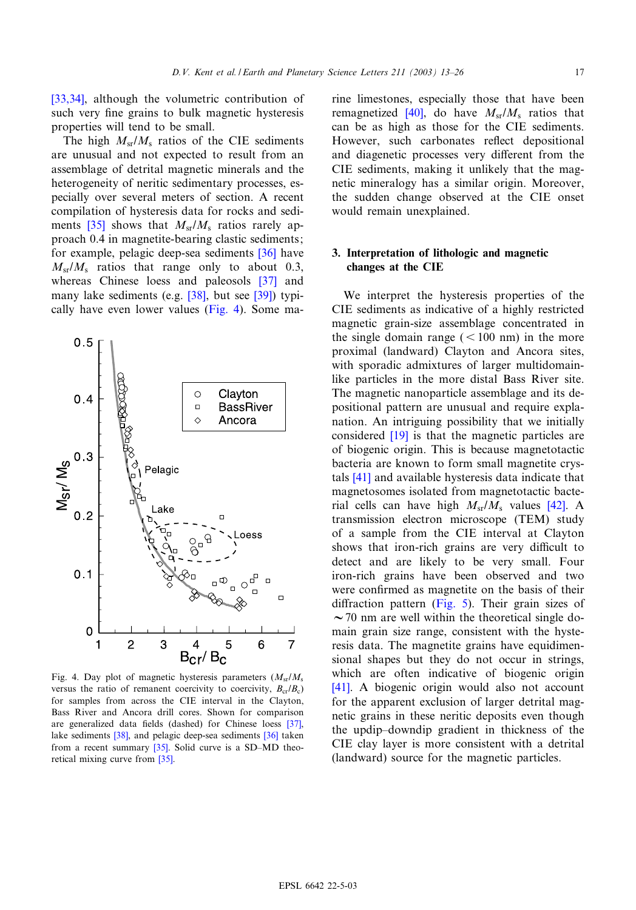[33,34], although the volumetric contribution of such very fine grains to bulk magnetic hysteresis properties will tend to be small.

The high  $M_{\rm sr}/M_{\rm s}$  ratios of the CIE sediments are unusual and not expected to result from an assemblage of detrital magnetic minerals and the heterogeneity of neritic sedimentary processes, especiall[y ov](#page-12-0)er several meters of section. A recent compilation of hysteresis data for rocks and sediments  $[35]$  shows that  $M_{sr}/M_s$  ratios r[arely](#page-12-0) approach 0.4 in magnetite-bearing clastic sediments; for example, pelagic deep-sea sediments [\[36\]](#page-12-0) have  $M_{\rm sr}/M_{\rm s}$  ratios that rang[e on](#page-12-0)ly to [abou](#page-12-0)t 0.3, whereas Chinese loess and paleosols [37] and many lake sediments (e.g. [38], but see [39]) typically have even lower values (Fig. 4). Some ma-



Fig. 4. Day plot of magnetic hysteresis parameters  $(M_{\rm sr}/M_{\rm s}$ versus the ratio of remanent coercivity to coercivity,  $B_{cr}/B_c$ ) for samples from across the CIE interval in the Cla[yton,](#page-12-0) Bass River an[d A](#page-12-0)ncora drill cores. Shown for c[omp](#page-12-0)arison are generalized data fie[lds](#page-12-0) (dashed) for Chinese loess [37], lake sediments [38], and p[elag](#page-12-0)ic deep-sea sediments [36] taken from a recent summary [35]. Solid curve is a SD-MD theoretical mixing curve from [35].

rine limestone[s,](#page-12-0) [e](#page-12-0)specially those that have been remagnetized [40], do have  $M_{\rm sr}/M_{\rm s}$  ratios that can be as high as those for the CIE sediments. However, such carbonates reflect depositional and diagenetic processes very different from the CIE sediments, making it unlikely that the magnetic mineralogy has a similar origin. Moreover, the sudden change observed at the CIE onset would remain unexplained.

## 3. Interpretation of lithologic and magnetic changes at the CIE

We interpret the hysteresis properties of the CIE sediments as indicative of a highly restricted magnetic grain-size assemblage concentrated in the single domain range  $(< 100$  nm) in the more proximal (landward) Clayton and Ancora sites, with sporadic admixtures of larger multidomainlike particles in the more distal Bass River site. The magnetic nanoparticle assemblage and its depositional [patte](#page-11-0)rn are unusual and require explanation. An intriguing possibility that we initially considered [19] is that the magnetic particles are of [bioge](#page-12-0)nic origin. This is because magnetotactic bacteria are known to form small magnetite crystals [41] and available hysteresis data indic[ate t](#page-12-0)hat magnetosomes isolated from magnetotactic bacterial cells can have high  $M_{\rm sr}/M_{\rm s}$  values [42]. A transmission electron microscope (TEM) study of a sample from the CIE interval at Clayton shows that iron-rich grains are very difficult to detect and are likely to be very small. Four iron-rich grains ha[ve bee](#page-5-0)n observed and two were confirmed as magnetite on the basis of their diffraction pattern (Fig. 5). Their grain sizes of  $\sim$  70 nm are well within the theoretical single domain grain size range, consistent with the hysteresis data. The magnetite grains have equidimen[sion](#page-12-0)al shapes but they do not occur in strings, which are often indicative of biogenic origin [41]. A biogenic origin would also not account for the apparent exclusion of larger detrital magnetic grains in these neritic deposits even though the updip^downdip gradient in thickness of the CIE clay layer is more consistent with a detrital (landward) source for the magnetic particles.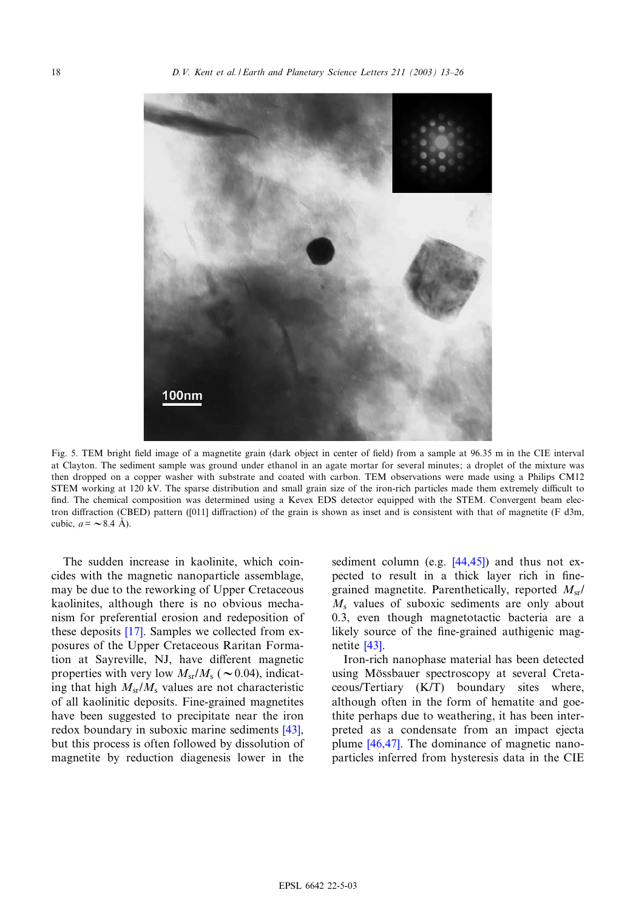<span id="page-5-0"></span>

Fig. 5. TEM bright field image of a magnetite grain (dark object in center of field) from a sample at 96.35 m in the CIE interval at Clayton. The sediment sample was ground under ethanol in an agate mortar for several minutes; a droplet of the mixture was then dropped on a copper washer with substrate and coated with carbon. TEM observations were made using a Philips CM12 STEM working at 120 kV. The sparse distribution and small grain size of the iron-rich particles made them extremely difficult to find. The chemical composition was determined using a Kevex EDS detector equipped with the STEM. Convergent beam electron diffraction (CBED) pattern ([011] diffraction) of the grain is shown as inset and is consistent with that of magnetite (F d3m, cubic,  $a = \sim 8.4$  Å).

The sudden increase in kaolinite, which coincides with the magnetic nanoparticle assemblage, may be due to the reworking of Upper Cretaceous kaolinites, alt[houg](#page-11-0)h there is no obvious mechanism for preferential erosion and redeposition of these deposits [17]. Samples we collected from exposures of the Upper Cretaceous Raritan Formation at Sayreville, NJ, have different magnetic properties with very low  $M_{\rm sr}/M_{\rm s}$  ( $\sim$  0.04), indicating that high  $M_{sr}/M_s$  values are not characteristic of all kaolinitic deposits. Fine-grained magn[etites](#page-12-0) have been suggested to precipitate near the iron redox boundary in suboxic marine sediments [43], but this process is often followed by dissolution of magnetite by reduction diagenesis lower in the

sediment column (e.g.  $[44, 45]$ ) and thus not expected to result in a thick layer rich in finegrained magnetite. Parenthetically, reported  $M_{\rm sr}/$  $M<sub>s</sub>$  values of suboxic sediments are only about 0.3, e[ven](#page-12-0) though magnetotactic bacteria are a likely source of the fine-grained authigenic magnetite [43].

Iron-rich nanophase material has been detected using Mössbauer spectroscopy at several Cretaceous/Tertiary (K/T) boundary sites where, although often in the form of hematite and goethite p[erhaps](#page-12-0) due to weathering, it has been interpreted as a condensate from an impact ejecta plume [46,47]. The dominance of magnetic nanoparticles inferred from hysteresis data in the CIE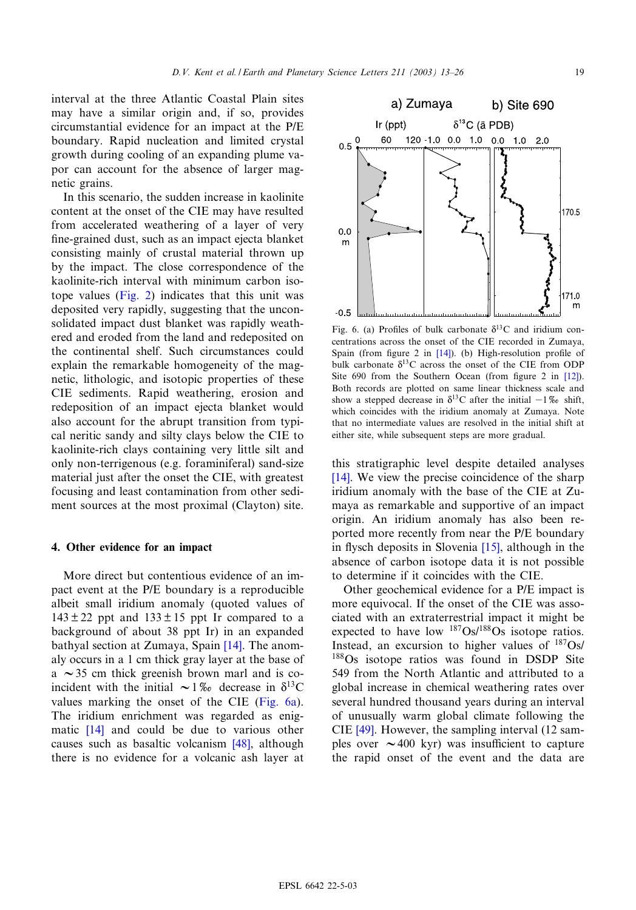<span id="page-6-0"></span>interval at the three Atlantic Coastal Plain sites may have a similar origin and, if so, provides circumstantial evidence for an impact at the P/E boundary. Rapid nucleation and limited crystal growth during cooling of an expanding plume vapor can account for the absence of larger magnetic grains.

In this scenario, the sudden increase in kaolinite content at the onset of the CIE may have resulted from accelerated weathering of a layer of very fine-grained dust, such as an impact ejecta blanket consisting mainly of crustal material thrown up by the impa[ct. The](#page-2-0) close correspondence of the kaolinite-rich interval with minimum carbon isotope values (Fig. 2) indicates that this unit was deposited very rapidly, suggesting that the unconsolidated impact dust blanket was rapidly weathered and eroded from the land and redeposited on the continental shelf. Such circumstances could explain the remarkable homogeneity of the magnetic, lithologic, and isotopic properties of these CIE sediments. Rapid weathering, erosion and redeposition of an impact ejecta blanket would also account for the abrupt transition from typical neritic sandy and silty clays below the CIE to kaolinite-rich clays containing very little silt and only non-terrigenous (e.g. foraminiferal) sand-size material just after the onset the CIE, with greatest focusing and least contamination from other sediment sources at the most proximal (Clayton) site.

#### 4. Other evidence for an impact

More direct but contentious evidence of an impact event at the P/E boundary is a reproducible albeit small iridium anomaly (quoted values of  $143 \pm 22$  ppt and  $133 \pm 15$  ppt Ir [com](#page-11-0)pared to a background of about 38 ppt Ir) in an expanded bathyal section at Zumaya, Spain [14]. The anomaly occurs in a 1 cm thick gray layer at the base of a  $\sim$  35 cm thick greenish brown marl and is coincident with the initial  $\sim 1\%$  decrease in  $\delta^{13}$ C values [mar](#page-11-0)king the onset of the CIE (Fig. 6a). The iridium enrichment was rega[rded](#page-12-0) as enigmatic [14] and could be due to various other causes such as basaltic volcanism [48], although there is no evidence for a volcanic ash layer at



Fig. 6. (a) Profiles of bu[lk c](#page-11-0)arbonate  $\delta^{13}$ C and iridium concentrations across the onset of the CIE recorded in Zumaya, Spain (from figure 2 in  $[14]$ ). (b) High-resolution profile of bulk carbonate  $\delta^{13}$ C across the onset of the CIE from ODP Site 690 from the Southern Ocean (from figure 2 in  $[12]$ ). Both records are plotted on same linear thickness scale and show a stepped decrease in  $\delta^{13}$ C after the initial  $-1\%$  shift, which coincides with the iridium anomaly at Zumaya. Note that no intermediate values are resolved in the initial shift at either site, while subsequent steps are more gradual.

[this](#page-11-0) stratigraphic level despite detailed analyses [14]. We view the precise coincidence of the sharp iridium anomaly with the base of the CIE at Zumaya as remarkable and supportive of an impact origin. An iridium anomal[y ha](#page-11-0)s also been reported more recently from near the P/E boundary in flysch deposits in Slovenia  $[15]$ , although in the absence of carbon isotope data it is not possible to determine if it coincides with the CIE.

Other geochemical evidence for a P/E impact is more equivocal. If the onset of the CIE was associated with an extraterrestrial impact it might be expected to have low  $187Os/188Os$  isotope ratios. Instead, an excursion to higher values of 187Os/ <sup>188</sup>Os isotope ratios was found in DSDP Site 549 from the North Atlantic and attributed to a global increase in chemical weathering rates over seve[ral h](#page-12-0)undred thousand years during an interval of unusually warm global climate following the CIE [49]. However, the sampling interval (12 samples over  $\sim$  400 kyr) was insufficient to capture the rapid onset of the event and the data are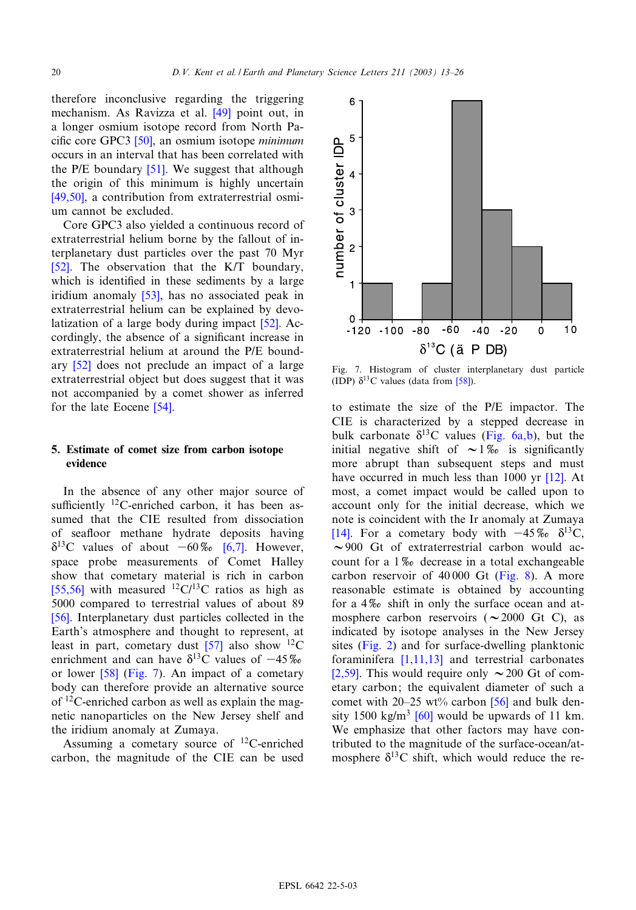therefore inconclusive regardi[ng](#page-12-0) [t](#page-12-0)he triggering mechanism. As [Rav](#page-12-0)izza et al. [49] point out, in a longer osmium isotope record from North Pa-cific core GPC3 [5[0\], a](#page-13-0)n osmium isotope *minimum* occurs in an interval that has been correlated with [the P/E](#page-12-0) boundary [51]. We suggest that although the origin of this minimum is highly uncertain [49,50], a contribution from extraterrestrial osmium cannot be excluded.

Core GPC3 also yielded a continuous record of [extr](#page-13-0)aterrestrial helium borne by the fallout of interplanetary dust particles over the past 70 Myr [52]. The observ[ation](#page-13-0) that the K/T boundary, which is identified in these sediments by a large iridium anomaly [53], has no associated [pea](#page-13-0)k in extraterrestrial helium can be explained by devolatization of a large body during impact [52]. Accor[dingl](#page-13-0)y, the absence of a significant increase in extraterrestrial helium at around the P/E boundary [52] does not preclude an impact of a large extraterrestrial obje[ct bu](#page-13-0)t does suggest that it was not accompanied by a comet shower as inferred for the late Eocene [54].

## 5. Estimate of comet size from carbon isotope evidence

In the absence of any other major source of sufficiently  $^{12}$ C-enriched carbon, it has been assumed that the CIE resulted fr[om](#page-11-0) dissociation of seafloor methane hydrate deposits having  $\delta^{13}$ C values of about  $-60\%$  [6,7]. However, [space](#page-13-0) probe measurements of Comet Halley show that cometary material is rich in carbon [\[55,](#page-13-0)56] with measured  $^{12}$ C/ $^{13}$ C ratios as high as 5000 compared to terrestrial values of about 89 [56]. Interplanetary dust parti[cles](#page-13-0) collected in the Earth's atmosphere and thought to represent, at least in [part,](#page-13-0) cometary dust [57] also show  $^{12}$ C enrichment and can have  $\delta^{13}$ C values of  $-45\%$ or lower [58] (Fig. 7). An impact of a cometary body can therefore provide an alternative source of  $^{12}$ C-enriched carbon as well as explain the magnetic nanoparticles on the New Jersey shelf and the iridium anomaly at Zumaya.

Assuming a cometary source of  $^{12}$ C-enriched carbon, the magnitude of the CIE can be used



Fig. 7. Histogram of cluster interplanetary dust particle (IDP)  $\delta^{13}$ C values (data from [58]).

to estimate the size of the [P/E impa](#page-6-0)ctor. The CIE is characterized by a stepped decrease in bulk carbonate  $\delta^{13}$ C values (Fig. 6a,b), but the initial negative shift of  $\sim 1\%$  is significantly more abrupt than subsequent steps and must have occurred in much less than 1000 yr [12]. At most, a comet impact would be called upon to [acco](#page-11-0)unt only for the initial decrease, which we note is coincident with the Ir anomaly at Zumaya [14]. For a cometary body with  $-45\%$   $\delta^{13}C$ ,  $\sim$ 900 Gt of extraterrestrial c[arbon](#page-8-0) would account for a  $1\%$  decrease in a total exchangeable carbon reservoir of 40 000 Gt (Fig. 8). A more reasonable estimate is obtained by accounting for a  $4\%$  shift in only the surface ocean and atmosp[here ca](#page-2-0)rbon reservoirs ( $\sim$ 2000 Gt C), as indicated by [isotope a](#page-11-0)nalyses in the New Jersey [sites \(](#page-11-0)Fig. 2) and for surface-dwelling planktonic foraminifera [1,11,13] and terrestrial carbonates [2,59]. This would require only  $\sim$  200 Gt of cometary carbon; t[he e](#page-13-0)quivalent diameter of such a comet with  $20-25$  wt% carbon [56] and bulk density 1500 kg/m<sup>3</sup> [60] would be upwards of 11 km. We emphasize that other factors may have contributed to the magnitude of the surface-ocean/atmosphere  $\delta^{13}$ C shift, which would reduce the re-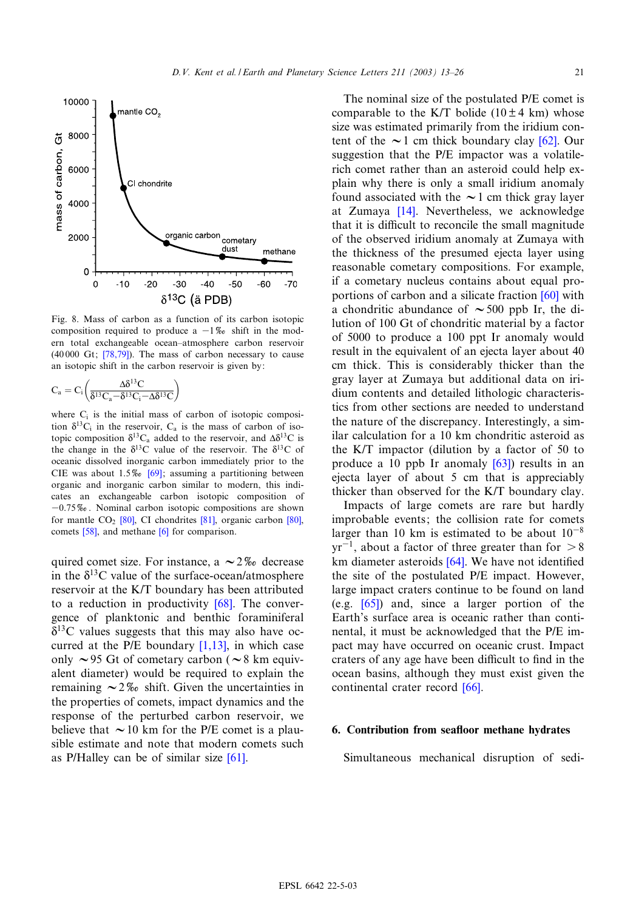<span id="page-8-0"></span>

Fig. 8. Mass of carbon as a function of its carbon isotopic composition [requir](#page-13-0)ed to produce a  $-1\%$  shift in the modern total exchangeable ocean^atmosphere carbon reservoir  $(40000 \text{ Gt}; [78,79])$ . The mass of carbon necessary to cause an isotopic shift in the carbon reservoir is given by:

$$
C_a = C_i \bigg( \!\frac{\Delta \delta^{13} C}{\delta^{13} C_a \!-\! \delta^{13} C_i \!-\! \Delta \delta^{13} C}\!\bigg)
$$

where  $C_i$  is the initial mass of carbon of isotopic composition  $\delta^{13}C_i$  in the reservoir,  $C_a$  is the mass of carbon of isotopic composition  $\delta^{13}C_a$  added to the reservoir, and  $\Delta \delta^{13}C$  is the change in the  $\delta^{13}$ [C va](#page-13-0)lue of the reservoir. The  $\delta^{13}$ C of oceanic dissolved inorganic carbon immediately prior to the CIE was about  $1.5\%$  [69]; assuming a partitioning between organic and inorganic carbon similar to modern, this indicates an exch[ange](#page-13-0)able carbon i[soto](#page-13-0)pic composition [of](#page-13-0)  $-0.75\%$ [. N](#page-13-0)ominal carbo[n i](#page-11-0)sotopic compositions are shown for mantle  $CO<sub>2</sub>$  [80], CI chondrites [81], organic carbon [80], comets [58], and methane [6] for comparison.

quired comet size. For instance, a  $\sim$  2\% decrease in the  $\delta^{13}$ C value of the surface-[ocea](#page-13-0)n/atmosphere reservoir at the K/T boundary has been attributed to a reduction in productivity  $[68]$ . The convergence of planktonic and [benthic](#page-11-0) foraminiferal  $\delta^{13}$ C values suggests that this may also have occurred at the P/E boundary  $[1,13]$ , in which case only  $\sim$ 95 Gt of cometary carbon ( $\sim$ 8 km equivalent diameter) would be required to explain the remaining  $\sim 2\%$  shift. Given the uncertainties in the properties of comets, impact dynamics and the response of the perturbed carbon reservoir, we believe that  $\sim$  10 km for the P/E [come](#page-13-0)t is a plausible estimate and note that modern comets such as P/Halley can be of similar size [61].

The nominal size of the postulated P/E comet is comparable to the K/T bolide ( $10 \pm 4$  k[m\) w](#page-13-0)hose size was estimated primarily from the iridium content of the  $\sim$ 1 cm thick boundary clay [62]. Our suggestion that the P/E impactor was a volatilerich comet rather than an asteroid could help explain why t[here](#page-11-0) is only a small iridium anomaly found associated with the  $\sim$  1 cm thick gray layer at Zumaya [14]. Nevertheless, we acknowledge that it is difficult to reconcile the small magnitude of the observed iridium anomaly at Zumaya with the thickness of the presumed ejecta layer using reasonable cometary compositions. For [exam](#page-13-0)ple, if a cometary nucleus contains about equal proportions of carbon and a silicate fraction [60] with a chondritic abundance of  $\sim$  500 ppb Ir, the dilution of 100 Gt of chondritic material by a factor of 5000 to produce a 100 ppt Ir anomaly would result in the equivalent of an ejecta layer about 40 cm thick. This is considerably thicker than the gray layer at Zumaya but additional data on iridium contents and detailed lithologic characteristics from other sections are needed to understand the nature of the discrepancy. Interestingly, a similar calculation for a 10 km ch[ondr](#page-13-0)itic asteroid as the K/T impactor (dilution by a factor of 50 to produce a 10 ppb Ir anomaly [63]) results in an ejecta layer of about 5 cm that is appreciably thicker than observed for the K/T boundary clay.

Impacts of large comets are rare but hardly improbable events; the collision rate for comets larger than 10 km is [estim](#page-13-0)ated to be about  $10^{-8}$  $yr^{-1}$ , about a factor of three greater than for  $> 8$ km diameter asteroids  $[64]$ . We have not identified the si[te o](#page-13-0)f the postulated P/E impact. However, large impact craters continue to be found on land (e.g. [65]) and, since a larger portion of the Earth's surface area is oceanic rather than continental, it must be acknowledged that the P/E impact may have occurred on oceanic crust. Impact craters of any age have b[een d](#page-13-0)ifficult to find in the ocean basins, although they must exist given the continental crater record [66].

#### 6. Contribution from seafloor methane hydrates

Simultaneous mechanical disruption of sedi-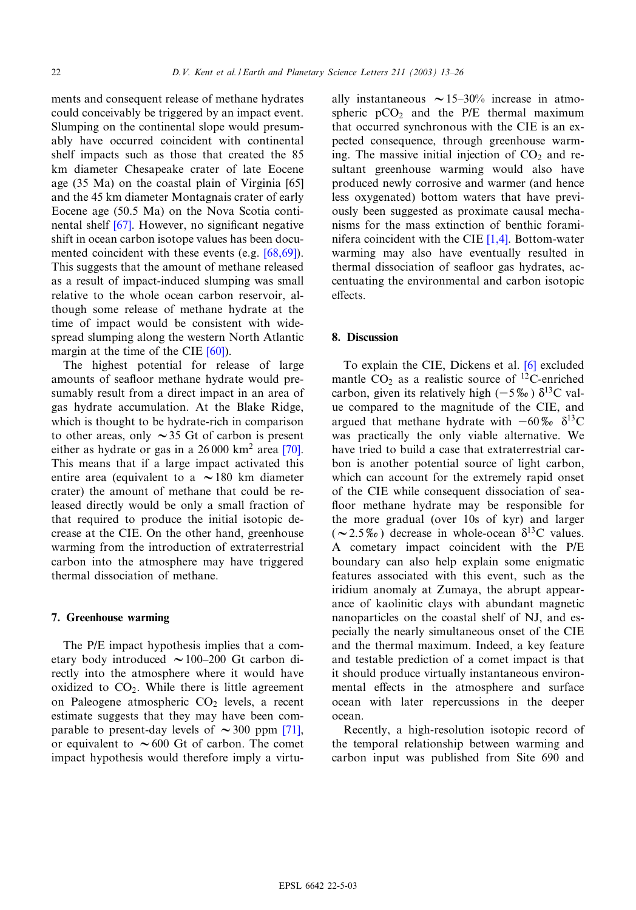ments and consequent release of methane hydrates could conceivably be triggered by an impact event. Slumping on the continental slope would presumably have occurred coincident with continental shelf impacts such as those that created the [85](#page-13-0) km diameter Chesapeake crater of late Eocene age (35 Ma) on the coastal plain of Virginia [65] and the 45 k[m di](#page-13-0)ameter Montagnais crater of early Eocene age (50.5 Ma) on the Nova Scotia continental shelf  $[67]$ . However, no significant [negativ](#page-13-0)e shift in ocean carbon isotope values has been documented coincident with these events (e.g. [68,69]). This suggests that the amount of methane released as a result of impact-induced slumping was small relative to the whole ocean carbon reservoir, although some release of methane hydrate at the time of impact would be co[nsist](#page-13-0)ent with widespread slumping along the western North Atlantic margin at the time of the CIE [60]).

The highest potential for release of large amounts of seafloor methane hydrate would presumably result from a direct impact in an area of gas hydrate accumulation. At the Blake Ridge, which is thought to be hydrate-rich in compa[rison](#page-13-0) to other areas, only  $\sim$  35 Gt of carbon is present either as hydrate or gas in a  $26000 \text{ km}^2$  area [70]. This means that if a large impact activated this entire area (equivalent to a  $\sim$  180 km diameter crater) the amount of methane that could be released directly would be only a small fraction of that required to produce the initial isotopic decrease at the CIE. On the other hand, greenhouse warming from the introduction of extraterrestrial carbon into the atmosphere may have triggered thermal dissociation of methane.

#### 7. Greenhouse warming

The P/E impact hypothesis implies that a cometary body introduced  $\sim$  100–200 Gt carbon directly into the atmosphere where it would have oxidized to  $CO<sub>2</sub>$ . While there is little agreement on Paleogene atmospheric CO<sub>2</sub> levels, a r[ecent](#page-13-0) estimate suggests that they may have been comparable to present-day levels of  $\sim$  300 ppm [71], or equivalent to  $\sim 600$  Gt of carbon. The comet impact hypothesis would therefore imply a virtually instantaneous  $\sim 15-30\%$  increase in atmospheric  $pCO<sub>2</sub>$  and the P/E thermal maximum that occurred synchronous with the CIE is an expected consequence, through greenhouse warming. The massive initial injection of  $CO<sub>2</sub>$  and resultant greenhouse warming would also have produced newly corrosive and warmer (and hence less oxygenated) bottom waters that have previously been suggested as proxi[mate](#page-11-0) causal mechanisms for the mass extinction of benthic foraminifera coincident with the CIE [1,4]. Bottom-water warming may also have eventually resulted in thermal dissociation of seafloor gas hydrates, accentuating the environmental and carbon isotopic effects.

#### 8. Discussion

To explain the CIE, Dickens et al. [6] excluded mantle  $CO<sub>2</sub>$  as a realistic source of <sup>12</sup>C-enriched carbon, given its relatively high ( $-5\%$ )  $\delta^{13}$ C value compared to the magnitude of the CIE, and argued that methane hydrate with  $-60\%$   $\delta^{13}$ C was practically the only viable alternative. We have tried to build a case that extraterrestrial carbon is another potential source of light carbon, which can account for the extremely rapid onset of the CIE while consequent dissociation of sea floor methane hydrate may be responsible for the more gradual (over 10s of kyr) and larger  $(\sim 2.5\%$ ) decrease in whole-ocean  $\delta^{13}$ C values. A cometary impact coincident with the P/E boundary can also help explain some enigmatic features associated with this event, such as the iridium anomaly at Zumaya, the abrupt appearance of kaolinitic clays with abundant magnetic nanoparticles on the coastal shelf of NJ, and especially the nearly simultaneous onset of the CIE and the thermal maximum. Indeed, a key feature and testable prediction of a comet impact is that it should produce virtually instantaneous environmental effects in the atmosphere and surface ocean with later repercussions in the deeper ocean.

Recently, a high-resolution isotopic record of the temporal relationship between warming and carbon input was published from Site 690 and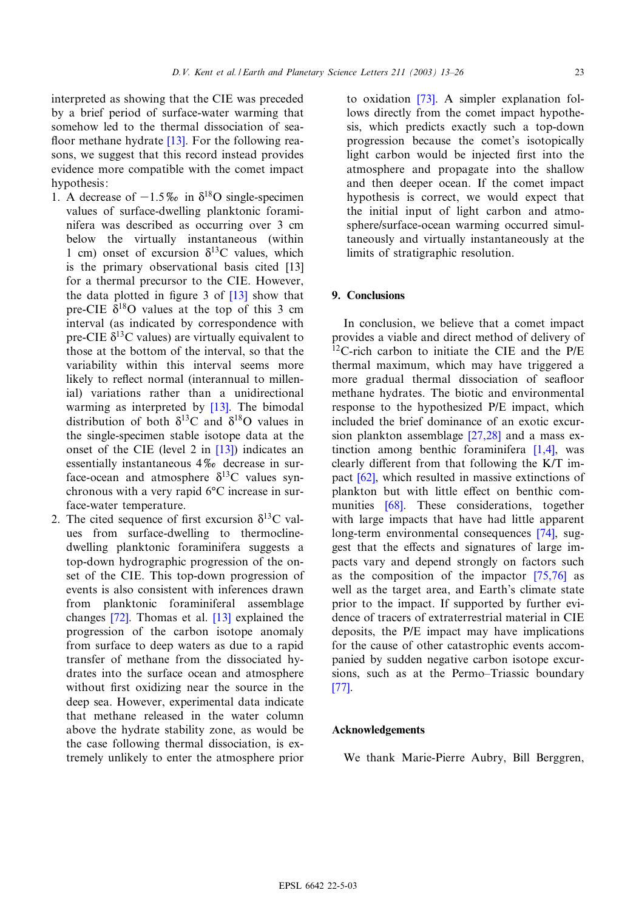interpreted as showing that the CIE was preceded by a brief period of s[urfa](#page-11-0)ce-water warming that somehow led to the thermal dissociation of sea floor methane hydrate  $[13]$ . For the following reasons, we suggest that this record instead provides evidence more compatible with the comet impact hypothesis:

- 1. A decrease of  $-1.5\%$  in  $\delta^{18}$ O single-specimen values of surface-dwelling planktonic foraminifera was described as occurring over 3 cm below the virtually instantaneous (wi[thin](#page-11-0) 1 cm) onset of excursion  $\delta^{13}$ C values, which is the primary observational [basis](#page-11-0) cited [13] for a thermal precursor to the CIE. However, the data plotted in figure 3 of  $[13]$  show that pre-CIE  $\delta^{18}$ O values at the top of this 3 cm interval (as indicated by correspondence with pre-CIE  $\delta^{13}$ C values) are virtually equivalent to those at the bottom of the interval, so that the variability within this interval seems more likely to reflect normal (int[erann](#page-11-0)ual to millenial) variations rather than a unidirectional warming as interpreted by [13]. The bimodal distribution of both  $\delta^{13}$ C a[nd](#page-11-0)  $\delta^{18}$ O values in the single-specimen stable isotope data at the onset of the CIE (level 2 in [13]) indicates an essentially instantaneous 4\% decrease in surface-ocean and atmosphere  $\delta^{13}$ C values synchronous with a very rapid 6°C increase in surface-water temperature.
- 2. The cited sequence of first excursion  $\delta^{13}C$  values from surface-dwelling to thermoclinedwelling planktonic foraminifera suggests a top-down hydrographic progression of the onset of the CIE. This top-down progression of events is [also](#page-13-0) consistent wit[h inf](#page-11-0)erences drawn from planktonic foraminiferal assemblage changes [72]. Thomas et al. [13] explained the progression of the carbon isotope anomaly from surface to deep waters as due to a rapid transfer of methane from the dissociated hydrates into the surface ocean and atmosphere without first oxidizing near the source in the deep sea. However, experimental data indicate that methane released in the water column above the hydrate stability zone, as would be the case following thermal dissociation, is extremely unlikely to enter the atmosphere prior

to oxidation [73]. A simpler explanation follows directly from the comet impact hypothesis, which predicts exactly such a top-down progression because the comet's isotopically light carbon would be injected first into the atmosphere and propagate into the shallow and then deeper ocean. If the comet impact hypothesis is correct, we would expect that the initial input of light carbon and atmosphere/surface-ocean warming occurred simultaneously and virtually instantaneously at the limits of stratigraphic resolution.

# 9. Conclusions

In conclusion, we believe that a comet impact provides a viable and direct method of delivery of <sup>12</sup>C-rich carbon to initiate the CIE and the P/E thermal maximum, which may have triggered a more gradual thermal dissociation of seafloor methane hydrates. The biotic and environmental response to the hypothesi[zed P/E](#page-12-0) impact, which included the brief dominance of an ex[otic e](#page-11-0)xcursion plankton assemblage [27,28] and a mass extincti[on](#page-13-0) among benthic foraminifera  $[1,4]$ , was clearly different from that following the  $K/T$  impact [62], [whic](#page-13-0)h resulted in massive extinctions of plankton but with little effect on benthic communities [68]. These considerations, [tog](#page-13-0)ether with large impacts that have had little apparent long-term environmental consequences [74], suggest that the effects and signatures of [large](#page-13-0) impacts vary and depend strongly on factors such as the composition of the impactor [75,76] as well as the target area, and Earth's climate state prior to the impact. If supported by further evidence of tracers of extraterrestrial material in CIE deposits, the P/E impact may have implications for the cause of other catastrophic events accom[pan](#page-13-0)ied by sudden negative carbon isotope excursions, such as at the Permo–Triassic boundary [77].

#### Acknowledgements

We thank Marie-Pierre Aubry, Bill Berggren,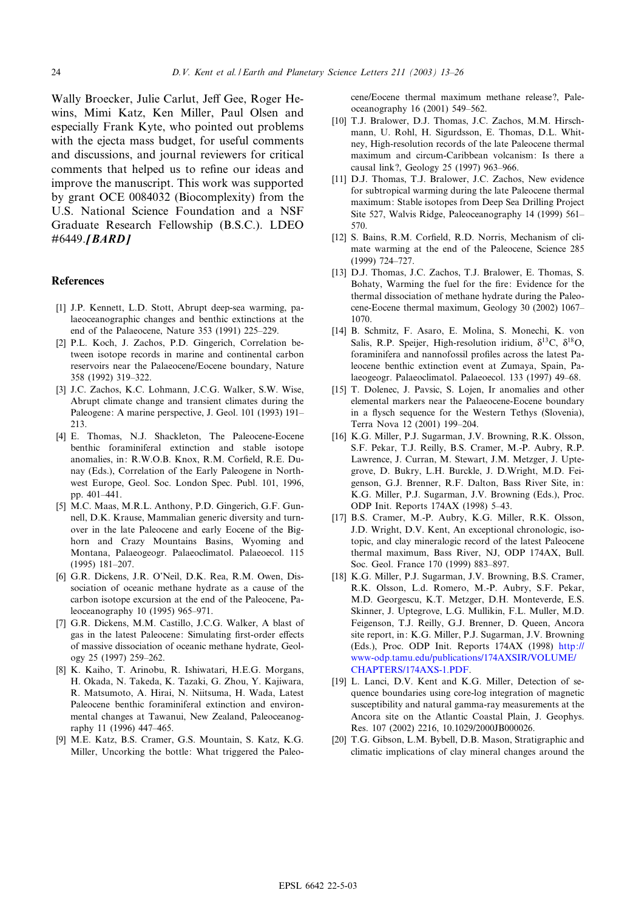<span id="page-11-0"></span>Wally Broecker, Julie Carlut, Jeff Gee, Roger Hewins, Mimi Katz, Ken Miller, Paul Olsen and especially Frank Kyte, who pointed out problems with the ejecta mass budget, for useful comments and discussions, and journal reviewers for critical comments that helped us to refine our ideas and improve the manuscript. This work was supported by grant OCE 0084032 (Biocomplexity) from the U.S. National Science Foundation and a NSF Graduate Research Fellowship (B.S.C.). LDEO #6449.**[BARD]** 

#### References

- [1] J.P. Kennett, L.D. Stott, Abrupt deep-sea warming, palaeoceanographic changes and benthic extinctions at the end of the Palaeocene, Nature 353 (1991) 225^229.
- [2] P.L. Koch, J. Zachos, P.D. Gingerich, Correlation between isotope records in marine and continental carbon reservoirs near the Palaeocene/Eocene boundary, Nature 358 (1992) 319^322.
- [3] J.C. Zachos, K.C. Lohmann, J.C.G. Walker, S.W. Wise, Abrupt climate change and transient climates during the Paleogene: A marine perspective, J. Geol. 101 (1993) 191^ 213.
- [4] E. Thomas, N.J. Shackleton, The Paleocene-Eocene benthic foraminiferal extinction and stable isotope anomalies, in: R.W.O.B. Knox, R.M. Corfield, R.E. Dunay (Eds.), Correlation of the Early Paleogene in Northwest Europe, Geol. Soc. London Spec. Publ. 101, 1996, pp. 401^441.
- [5] M.C. Maas, M.R.L. Anthony, P.D. Gingerich, G.F. Gunnell, D.K. Krause, Mammalian generic diversity and turnover in the late Paleocene and early Eocene of the Bighorn and Crazy Mountains Basins, Wyoming and Montana, Palaeogeogr. Palaeoclimatol. Palaeoecol. 115  $(1995)$  181-207.
- [6] G.R. Dickens, J.R. O'Neil, D.K. Rea, R.M. Owen, Dissociation of oceanic methane hydrate as a cause of the carbon isotope excursion at the end of the Paleocene, Paleoceanography 10 (1995) 965^971.
- [7] G.R. Dickens, M.M. Castillo, J.C.G. Walker, A blast of gas in the latest Paleocene: Simulating first-order effects of massive dissociation of oceanic methane hydrate, Geology 25 (1997) 259^262.
- [8] K. Kaiho, T. Arinobu, R. Ishiwatari, H.E.G. Morgans, H. Okada, N. Takeda, K. Tazaki, G. Zhou, Y. Kajiwara, R. Matsumoto, A. Hirai, N. Niitsuma, H. Wada, Latest Paleocene benthic foraminiferal extinction and environmental changes at Tawanui, New Zealand, Paleoceanography 11 (1996) 447-465.
- [9] M.E. Katz, B.S. Cramer, G.S. Mountain, S. Katz, K.G. Miller, Uncorking the bottle: What triggered the Paleo-

cene/Eocene thermal maximum methane release?, Paleoceanography 16 (2001) 549-562.

- [10] T.J. Bralower, D.J. Thomas, J.C. Zachos, M.M. Hirschmann, U. Rohl, H. Sigurdsson, E. Thomas, D.L. Whitney, High-resolution records of the late Paleocene thermal maximum and circum-Caribbean volcanism: Is there a causal link?, Geology 25 (1997) 963^966.
- [11] D.J. Thomas, T.J. Bralower, J.C. Zachos, New evidence for subtropical warming during the late Paleocene thermal maximum: Stable isotopes from Deep Sea Drilling Project Site 527, Walvis Ridge, Paleoceanography 14 (1999) 561^ 570.
- [12] S. Bains, R.M. Corfield, R.D. Norris, Mechanism of climate warming at the end of the Paleocene, Science 285 (1999) 724^727.
- [13] D.J. Thomas, J.C. Zachos, T.J. Bralower, E. Thomas, S. Bohaty, Warming the fuel for the fire: Evidence for the thermal dissociation of methane hydrate during the Paleocene-Eocene thermal maximum, Geology 30 (2002) 1067^ 1070.
- [14] B. Schmitz, F. Asaro, E. Molina, S. Monechi, K. von Salis, R.P. Speijer, High-resolution iridium,  $\delta^{13}C$ ,  $\delta^{18}O$ , foraminifera and nannofossil profiles across the latest Paleocene benthic extinction event at Zumaya, Spain, Palaeogeogr. Palaeoclimatol. Palaeoecol. 133 (1997) 49-68.
- [15] T. Dolenec, J. Pavsic, S. Lojen, Ir anomalies and other elemental markers near the Palaeocene-Eocene boundary in a flysch sequence for the Western Tethys (Slovenia), Terra Nova 12 (2001) 199^204.
- [16] K.G. Miller, P.J. Sugarman, J.V. Browning, R.K. Olsson, S.F. Pekar, T.J. Reilly, B.S. Cramer, M.-P. Aubry, R.P. Lawrence, J. Curran, M. Stewart, J.M. Metzger, J. Uptegrove, D. Bukry, L.H. Burckle, J. D.Wright, M.D. Feigenson, G.J. Brenner, R.F. Dalton, Bass River Site, in: K.G. Miller, P.J. Sugarman, J.V. Browning (Eds.), Proc. ODP Init. Reports 174AX (1998) 5^43.
- [17] B.S. Cramer, M.-P. Aubry, K.G. Miller, R.K. Olsson, J.D. Wright, D.V. Kent, An exceptional chronologic, isotopic, and clay mineralogic record of the latest Paleocene thermal maximum, Bass River, NJ, ODP 174AX, Bull. Soc. Geol. France 170 (1999) 883-897.
- [18] K.G. Miller, P.J. Sugarman, J.V. Browning, B.S. Cramer, R.K. Olsson, L.d. Romero, M.-P. Aubry, S.F. Pekar, M.D. Georgescu, K.T. Metzger, D.H. Monteverde, E.S. Skinner, J. Uptegrove, L.G. Mullikin, F.L. Muller, M.D. Feigenson, T.J. Reilly, G.J. Brenner, D. Queen, [Ancora](http://www-odp.tamu.edu/publications/174AXSIR/VOLUME/CHAPTERS/174AXS-1.PDF) [site report, in: K.G. Miller, P.J. Sugarman, J.V. Brownin](http://www-odp.tamu.edu/publications/174AXSIR/VOLUME/CHAPTERS/174AXS-1.PDF)g [\(Eds.\), Proc. ODP Init. Re](http://www-odp.tamu.edu/publications/174AXSIR/VOLUME/CHAPTERS/174AXS-1.PDF)ports 174AX (1998) http:// www-odp.tamu.edu/publications/174AXSIR/VOLUME/ CHAPTERS/174AXS-1.PDF.
- [19] L. Lanci, D.V. Kent and K.G. Miller, Detection of sequence boundaries using core-log integration of magnetic susceptibility and natural gamma-ray measurements at the Ancora site on the Atlantic Coastal Plain, J. Geophys. Res. 107 (2002) 2216, 10.1029/2000JB000026.
- [20] T.G. Gibson, L.M. Bybell, D.B. Mason, Stratigraphic and climatic implications of clay mineral changes around the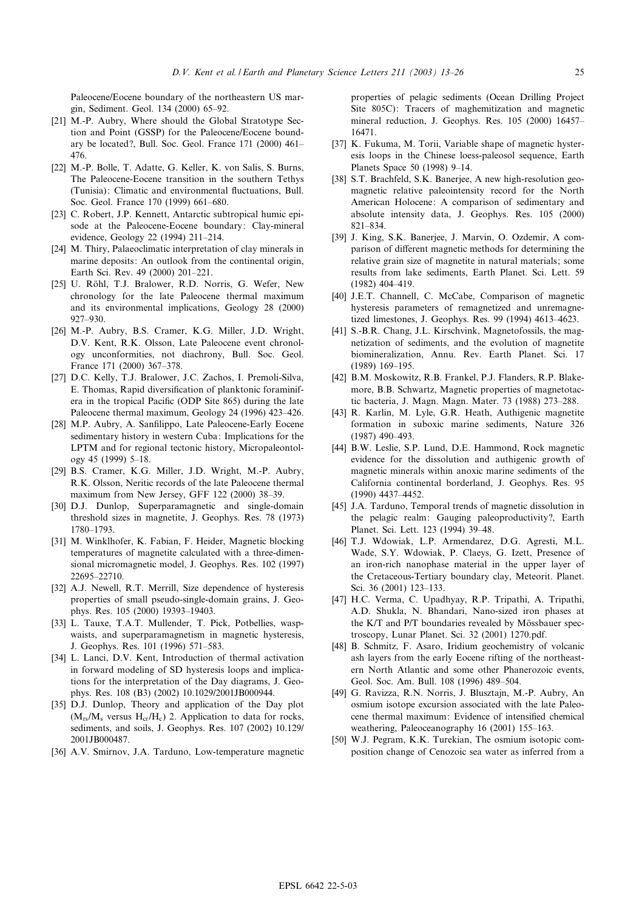<span id="page-12-0"></span>Paleocene/Eocene boundary of the northeastern US margin, Sediment. Geol. 134 (2000) 65^92.

- [21] M.-P. Aubry, Where should the Global Stratotype Section and Point (GSSP) for the Paleocene/Eocene boundary be located?, Bull. Soc. Geol. France 171 (2000) 461^ 476.
- [22] M.-P. Bolle, T. Adatte, G. Keller, K. von Salis, S. Burns, The Paleocene-Eocene transition in the southern Tethys (Tunisia): Climatic and environmental fluctuations, Bull. Soc. Geol. France 170 (1999) 661-680.
- [23] C. Robert, J.P. Kennett, Antarctic subtropical humic episode at the Paleocene-Eocene boundary: Clay-mineral evidence, Geology 22 (1994) 211-214.
- [24] M. Thiry, Palaeoclimatic interpretation of clay minerals in marine deposits: An outlook from the continental origin, Earth Sci. Rev. 49 (2000) 201-221.
- [25] U. Röhl, T.J. Bralower, R.D. Norris, G. Wefer, New chronology for the late Paleocene thermal maximum and its environmental implications, Geology 28 (2000) 927^930.
- [26] M.-P. Aubry, B.S. Cramer, K.G. Miller, J.D. Wright, D.V. Kent, R.K. Olsson, Late Paleocene event chronology unconformities, not diachrony, Bull. Soc. Geol. France 171 (2000) 367-378.
- [27] D.C. Kelly, T.J. Bralower, J.C. Zachos, I. Premoli-Silva, E. Thomas, Rapid diversification of planktonic foraminifera in the tropical Pacific (ODP Site 865) during the late Paleocene thermal maximum, Geology 24 (1996) 423-426.
- [28] M.P. Aubry, A. Sanfilippo, Late Paleocene-Early Eocene sedimentary history in western Cuba: Implications for the LPTM and for regional tectonic history, Micropaleontology 45 (1999) 5-18.
- [29] B.S. Cramer, K.G. Miller, J.D. Wright, M.-P. Aubry, R.K. Olsson, Neritic records of the late Paleocene thermal maximum from New Jersey, GFF 122 (2000) 38-39.
- [30] D.J. Dunlop, Superparamagnetic and single-domain threshold sizes in magnetite, J. Geophys. Res. 78 (1973) 1780^1793.
- [31] M. Winklhofer, K. Fabian, F. Heider, Magnetic blocking temperatures of magnetite calculated with a three-dimensional micromagnetic model, J. Geophys. Res. 102 (1997) 22695^22710.
- [32] A.J. Newell, R.T. Merrill, Size dependence of hysteresis properties of small pseudo-single-domain grains, J. Geophys. Res. 105 (2000) 19393^19403.
- [33] L. Tauxe, T.A.T. Mullender, T. Pick, Potbellies, waspwaists, and superparamagnetism in magnetic hysteresis, J. Geophys. Res. 101 (1996) 571-583.
- [34] L. Lanci, D.V. Kent, Introduction of thermal activation in forward modeling of SD hysteresis loops and implications for the interpretation of the Day diagrams, J. Geophys. Res. 108 (B3) (2002) 10.1029/2001JB000944.
- [35] D.J. Dunlop, Theory and application of the Day plot  $(M_{rs}/M_s$  versus  $H_{cr}/H_c$ ) 2. Application to data for rocks, sediments, and soils, J. Geophys. Res. 107 (2002) 10.129/ 2001JB000487.
- [36] A.V. Smirnov, J.A. Tarduno, Low-temperature magnetic

properties of pelagic sediments (Ocean Drilling Project Site 805C): Tracers of maghemitization and magnetic mineral reduction, J. Geophys. Res. 105 (2000) 16457^ 16471.

- [37] K. Fukuma, M. Torii, Variable shape of magnetic hysteresis loops in the Chinese loess-paleosol sequence, Earth Planets Space 50 (1998) 9-14.
- [38] S.T. Brachfeld, S.K. Banerjee, A new high-resolution geomagnetic relative paleointensity record for the North American Holocene: A comparison of sedimentary and absolute intensity data, J. Geophys. Res. 105 (2000) 821^834.
- [39] J. King, S.K. Banerjee, J. Marvin, O. Ozdemir, A comparison of different magnetic methods for determining the relative grain size of magnetite in natural materials; some results from lake sediments, Earth Planet. Sci. Lett. 59 (1982) 404^419.
- [40] J.E.T. Channell, C. McCabe, Comparison of magnetic hysteresis parameters of remagnetized and unremagnetized limestones, J. Geophys. Res. 99 (1994) 4613^4623.
- [41] S.-B.R. Chang, J.L. Kirschvink, Magnetofossils, the magnetization of sediments, and the evolution of magnetite biomineralization, Annu. Rev. Earth Planet. Sci. 17 (1989) 169-195.
- [42] B.M. Moskowitz, R.B. Frankel, P.J. Flanders, R.P. Blakemore, B.B. Schwartz, Magnetic properties of magnetotactic bacteria, J. Magn. Magn. Mater. 73 (1988) 273^288.
- [43] R. Karlin, M. Lyle, G.R. Heath, Authigenic magnetite formation in suboxic marine sediments, Nature 326 (1987) 490-493.
- [44] B.W. Leslie, S.P. Lund, D.E. Hammond, Rock magnetic evidence for the dissolution and authigenic growth of magnetic minerals within anoxic marine sediments of the California continental borderland, J. Geophys. Res. 95 (1990) 4437-4452.
- [45] J.A. Tarduno, Temporal trends of magnetic dissolution in the pelagic realm: Gauging paleoproductivity?, Earth Planet. Sci. Lett. 123 (1994) 39^48.
- [46] T.J. Wdowiak, L.P. Armendarez, D.G. Agresti, M.L. Wade, S.Y. Wdowiak, P. Claeys, G. Izett, Presence of an iron-rich nanophase material in the upper layer of the Cretaceous-Tertiary boundary clay, Meteorit. Planet. Sci. 36 (2001) 123-133.
- [47] H.C. Verma, C. Upadhyay, R.P. Tripathi, A. Tripathi, A.D. Shukla, N. Bhandari, Nano-sized iron phases at the K/T and  $P/T$  boundaries revealed by Mössbauer spectroscopy, Lunar Planet. Sci. 32 (2001) 1270.pdf.
- [48] B. Schmitz, F. Asaro, Iridium geochemistry of volcanic ash layers from the early Eocene rifting of the northeastern North Atlantic and some other Phanerozoic events, Geol. Soc. Am. Bull. 108 (1996) 489-504.
- [49] G. Ravizza, R.N. Norris, J. Blusztajn, M.-P. Aubry, An osmium isotope excursion associated with the late Paleocene thermal maximum: Evidence of intensified chemical weathering, Paleoceanography 16 (2001) 155-163.
- [50] W.J. Pegram, K.K. Turekian, The osmium isotopic composition change of Cenozoic sea water as inferred from a